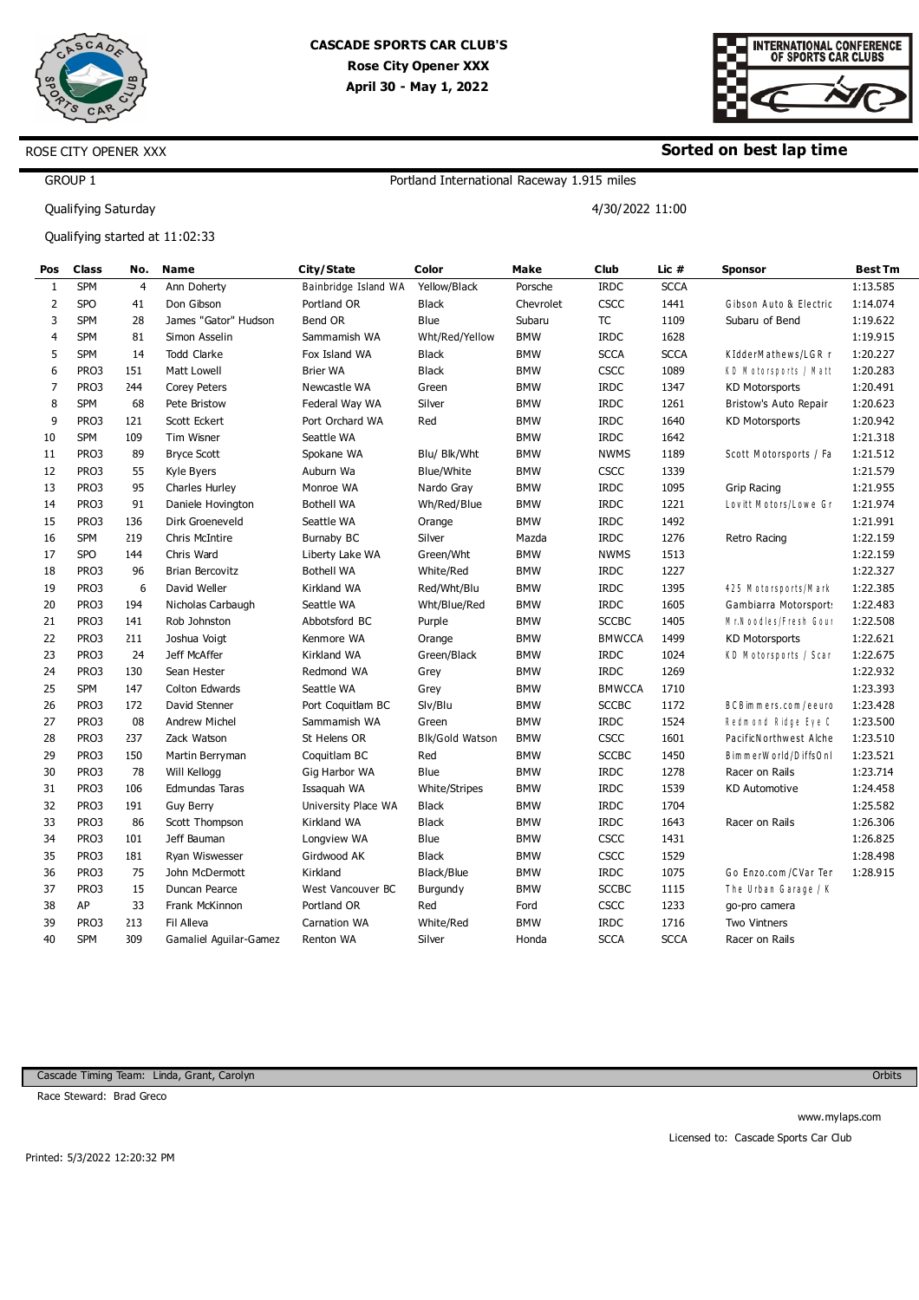



#### **Sorted on best lap time**

4/30/2022 11:00

## GROUP 1

Qualifying Saturday

ROSE CITY OPENER XXX

Qualifying started at 11:02:33

| Pos            | <b>Class</b> | No.             | <b>Name</b>            | City/State           | Color                | <b>Make</b> | Club          | Lic #       | <b>Sponsor</b>          | <b>Best Tm</b> |
|----------------|--------------|-----------------|------------------------|----------------------|----------------------|-------------|---------------|-------------|-------------------------|----------------|
| 1              | <b>SPM</b>   | $\overline{4}$  | Ann Doherty            | Bainbridge Island WA | Yellow/Black         | Porsche     | <b>IRDC</b>   | <b>SCCA</b> |                         | 1:13.585       |
| 2              | <b>SPO</b>   | 41              | Don Gibson             | Portland OR          | <b>Black</b>         | Chevrolet   | CSCC          | 1441        | Gibson Auto & Electric  | 1:14.074       |
| 3              | <b>SPM</b>   | 28              | James "Gator" Hudson   | Bend OR              | Blue                 | Subaru      | <b>TC</b>     | 1109        | Subaru of Bend          | 1:19.622       |
| $\overline{4}$ | <b>SPM</b>   | 81              | Simon Asselin          | Sammamish WA         | Wht/Red/Yellow       | <b>BMW</b>  | <b>IRDC</b>   | 1628        |                         | 1:19.915       |
| 5              | <b>SPM</b>   | 14              | <b>Todd Clarke</b>     | Fox Island WA        | <b>Black</b>         | <b>BMW</b>  | <b>SCCA</b>   | <b>SCCA</b> | KIdderMathews/LGR r     | 1:20.227       |
| 6              | PRO3         | L51             | Matt Lowell            | <b>Brier WA</b>      | <b>Black</b>         | <b>BMW</b>  | <b>CSCC</b>   | 1089        | KD Motorsports / Matt   | 1:20.283       |
| $\overline{7}$ | PRO3         | 244             | <b>Corey Peters</b>    | Newcastle WA         | Green                | <b>BMW</b>  | <b>IRDC</b>   | 1347        | <b>KD Motorsports</b>   | 1:20.491       |
| 8              | <b>SPM</b>   | 68              | Pete Bristow           | Federal Way WA       | Silver               | <b>BMW</b>  | <b>IRDC</b>   | 1261        | Bristow's Auto Repair   | 1:20.623       |
| 9              | PRO3         | L21             | Scott Eckert           | Port Orchard WA      | Red                  | <b>BMW</b>  | <b>IRDC</b>   | 1640        | <b>KD Motorsports</b>   | 1:20.942       |
| 10             | <b>SPM</b>   | L <sub>09</sub> | Tim Wisner             | Seattle WA           |                      | <b>BMW</b>  | <b>IRDC</b>   | 1642        |                         | 1:21.318       |
| 11             | PRO3         | 89              | <b>Bryce Scott</b>     | Spokane WA           | Blu/ Blk/Wht         | <b>BMW</b>  | <b>NWMS</b>   | 1189        | Scott Motorsports / Fa  | 1:21.512       |
| 12             | PRO3         | 55              | Kyle Byers             | Auburn Wa            | Blue/White           | <b>BMW</b>  | <b>CSCC</b>   | 1339        |                         | 1:21.579       |
| 13             | PRO3         | 95              | Charles Hurley         | Monroe WA            | Nardo Gray           | <b>BMW</b>  | <b>IRDC</b>   | 1095        | <b>Grip Racing</b>      | 1:21.955       |
| 14             | PRO3         | 91              | Daniele Hovington      | <b>Bothell WA</b>    | Wh/Red/Blue          | <b>BMW</b>  | <b>IRDC</b>   | 1221        | Lovitt Motors/Lowe Gr   | 1:21.974       |
| 15             | PRO3         | L <sub>36</sub> | Dirk Groeneveld        | Seattle WA           | Orange               | <b>BMW</b>  | <b>IRDC</b>   | 1492        |                         | 1:21.991       |
| 16             | <b>SPM</b>   | 219             | Chris McIntire         | <b>Burnaby BC</b>    | Silver               | Mazda       | <b>IRDC</b>   | 1276        | Retro Racing            | 1:22.159       |
| 17             | <b>SPO</b>   | <b>L44</b>      | Chris Ward             | Liberty Lake WA      | Green/Wht            | <b>BMW</b>  | <b>NWMS</b>   | 1513        |                         | 1:22.159       |
| 18             | PRO3         | 96              | <b>Brian Bercovitz</b> | <b>Bothell WA</b>    | White/Red            | <b>BMW</b>  | <b>IRDC</b>   | 1227        |                         | 1:22.327       |
| 19             | PRO3         | 6               | David Weller           | Kirkland WA          | Red/Wht/Blu          | <b>BMW</b>  | <b>IRDC</b>   | 1395        | 425 M otorsports/M ark  | 1:22.385       |
| 20             | PRO3         | L94             | Nicholas Carbaugh      | Seattle WA           | Wht/Blue/Red         | <b>BMW</b>  | <b>IRDC</b>   | 1605        | Gambiarra Motorsport:   | 1:22.483       |
| 21             | PRO3         | 141             | Rob Johnston           | Abbotsford BC        | Purple               | <b>BMW</b>  | <b>SCCBC</b>  | 1405        | Mr. Noodles/Fresh Gour  | 1:22.508       |
| 22             | PRO3         | 211             | Joshua Voigt           | Kenmore WA           | Orange               | <b>BMW</b>  | <b>BMWCCA</b> | 1499        | <b>KD Motorsports</b>   | 1:22.621       |
| 23             | PRO3         | 24              | Jeff McAffer           | Kirkland WA          | Green/Black          | <b>BMW</b>  | <b>IRDC</b>   | 1024        | KD Motorsports / Scar   | 1:22.675       |
| 24             | PRO3         | L30             | Sean Hester            | Redmond WA           | Grey                 | <b>BMW</b>  | <b>IRDC</b>   | 1269        |                         | 1:22.932       |
| 25             | <b>SPM</b>   | 147             | Colton Edwards         | Seattle WA           | Grey                 | <b>BMW</b>  | <b>BMWCCA</b> | 1710        |                         | 1:23.393       |
| 26             | PRO3         | L72             | David Stenner          | Port Coquitlam BC    | Slv/Blu              | <b>BMW</b>  | <b>SCCBC</b>  | 1172        | BCB im mers.com / eeurc | 1:23.428       |
| 27             | PRO3         | 08              | <b>Andrew Michel</b>   | Sammamish WA         | Green                | <b>BMW</b>  | <b>IRDC</b>   | 1524        | Redmond Ridge Eye C     | 1:23.500       |
| 28             | PRO3         | 237             | Zack Watson            | St Helens OR         | Blk/Gold Watson      | <b>BMW</b>  | <b>CSCC</b>   | 1601        | PacificN orthwest Alche | 1:23.510       |
| 29             | PRO3         | L50             | Martin Berryman        | Coquitlam BC         | Red                  | <b>BMW</b>  | <b>SCCBC</b>  | 1450        | BimmerWorld/DiffsOnl    | 1:23.521       |
| 30             | PRO3         | 78              | Will Kellogg           | Gig Harbor WA        | Blue                 | <b>BMW</b>  | <b>IRDC</b>   | 1278        | Racer on Rails          | 1:23.714       |
| 31             | PRO3         | L <sub>06</sub> | Edmundas Taras         | Issaquah WA          | <b>White/Stripes</b> | <b>BMW</b>  | <b>IRDC</b>   | 1539        | <b>KD Automotive</b>    | 1:24.458       |
| 32             | PRO3         | L91             | <b>Guy Berry</b>       | University Place WA  | <b>Black</b>         | <b>BMW</b>  | <b>IRDC</b>   | 1704        |                         | 1:25.582       |
| 33             | PRO3         | 86              | Scott Thompson         | Kirkland WA          | <b>Black</b>         | <b>BMW</b>  | <b>IRDC</b>   | 1643        | Racer on Rails          | 1:26.306       |
| 34             | PRO3         | LO1             | Jeff Bauman            | Longview WA          | Blue                 | <b>BMW</b>  | <b>CSCC</b>   | 1431        |                         | 1:26.825       |
| 35             | PRO3         | L81             | Ryan Wiswesser         | Girdwood AK          | <b>Black</b>         | <b>BMW</b>  | CSCC          | 1529        |                         | 1:28.498       |
| 36             | PRO3         | 75              | John McDermott         | Kirkland             | Black/Blue           | <b>BMW</b>  | <b>IRDC</b>   | 1075        | Go Enzo.com / CVar Ter  | 1:28.915       |
| 37             | PRO3         | 15              | Duncan Pearce          | West Vancouver BC    | Burgundy             | <b>BMW</b>  | <b>SCCBC</b>  | 1115        | The Urban Garage / K    |                |
| 38             | AP           | 33              | Frank McKinnon         | Portland OR          | Red                  | Ford        | CSCC          | 1233        | go-pro camera           |                |
| 39             | PRO3         | 213             | Fil Alleva             | <b>Carnation WA</b>  | White/Red            | <b>BMW</b>  | <b>IRDC</b>   | 1716        | <b>Two Vintners</b>     |                |
| 40             | <b>SPM</b>   | 309             | Gamaliel Aguilar-Gamez | Renton WA            | Silver               | Honda       | <b>SCCA</b>   | <b>SCCA</b> | Racer on Rails          |                |

Portland International Raceway 1.915 miles

Cascade Timing Team: Linda, Grant, Carolyn

Race Steward: Brad Greco

**Orbits**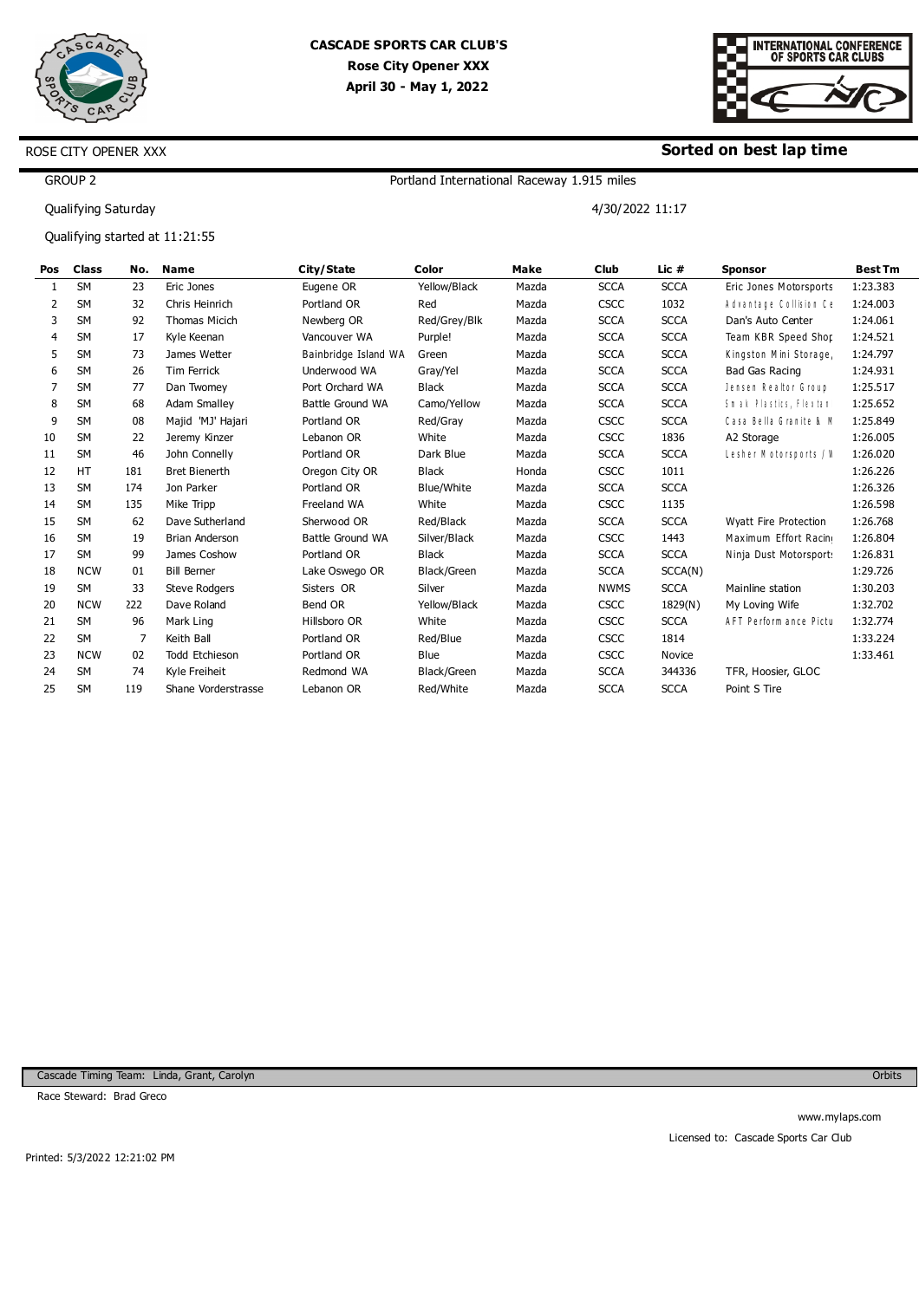



#### **Sorted on best lap time**

4/30/2022 11:17

GROUP 2

Qualifying Saturday

ROSE CITY OPENER XXX

Qualifying started at 11:21:55

| Pos | Class      | No.             | Name                 | City/State           | Color        | Make  | <b>Club</b> | Lic #       | <b>Sponsor</b>         | <b>Best Tm</b> |
|-----|------------|-----------------|----------------------|----------------------|--------------|-------|-------------|-------------|------------------------|----------------|
|     | <b>SM</b>  | 23              | Eric Jones           | Eugene OR            | Yellow/Black | Mazda | <b>SCCA</b> | <b>SCCA</b> | Eric Jones Motorsports | 1:23.383       |
| 2   | <b>SM</b>  | 32              | Chris Heinrich       | Portland OR          | Red          | Mazda | <b>CSCC</b> | 1032        | Advantage Collision Ce | 1:24.003       |
| 3   | <b>SM</b>  | 92              | <b>Thomas Micich</b> | Newberg OR           | Red/Grey/Blk | Mazda | <b>SCCA</b> | <b>SCCA</b> | Dan's Auto Center      | 1:24.061       |
| 4   | <b>SM</b>  | 17              | Kyle Keenan          | Vancouver WA         | Purple!      | Mazda | <b>SCCA</b> | <b>SCCA</b> | Team KBR Speed Shor    | 1:24.521       |
| 5.  | <b>SM</b>  | 73              | James Wetter         | Bainbridge Island WA | Green        | Mazda | <b>SCCA</b> | <b>SCCA</b> | Kingston Mini Storage  | 1:24.797       |
| 6   | <b>SM</b>  | 26              | Tim Ferrick          | Underwood WA         | Gray/Yel     | Mazda | <b>SCCA</b> | <b>SCCA</b> | Bad Gas Racing         | 1:24.931       |
| 7   | <b>SM</b>  | 77              | Dan Twomey           | Port Orchard WA      | Black        | Mazda | <b>SCCA</b> | <b>SCCA</b> | Jensen Realtor Group   | 1:25.517       |
| 8   | <b>SM</b>  | 68              | <b>Adam Smalley</b>  | Battle Ground WA     | Camo/Yellow  | Mazda | <b>SCCA</b> | <b>SCCA</b> | Smak Plastics, Flextan | 1:25.652       |
| 9   | <b>SM</b>  | 08              | Majid 'MJ' Hajari    | Portland OR          | Red/Gray     | Mazda | <b>CSCC</b> | <b>SCCA</b> | Casa Bella Granite & M | 1:25.849       |
| 10  | <b>SM</b>  | 22              | Jeremy Kinzer        | Lebanon OR           | White        | Mazda | <b>CSCC</b> | 1836        | A2 Storage             | 1:26.005       |
| 11  | <b>SM</b>  | 46              | John Connelly        | Portland OR          | Dark Blue    | Mazda | <b>SCCA</b> | <b>SCCA</b> | Lesher Motorsports / V | 1:26.020       |
| 12  | <b>HT</b>  | L81             | <b>Bret Bienerth</b> | Oregon City OR       | Black        | Honda | <b>CSCC</b> | 1011        |                        | 1:26.226       |
| 13  | <b>SM</b>  | L74             | Jon Parker           | Portland OR          | Blue/White   | Mazda | <b>SCCA</b> | <b>SCCA</b> |                        | 1:26.326       |
| 14  | <b>SM</b>  | L <sub>35</sub> | Mike Tripp           | Freeland WA          | White        | Mazda | <b>CSCC</b> | 1135        |                        | 1:26.598       |
| 15  | <b>SM</b>  | 62              | Dave Sutherland      | Sherwood OR          | Red/Black    | Mazda | <b>SCCA</b> | <b>SCCA</b> | Wyatt Fire Protection  | 1:26.768       |
| 16  | <b>SM</b>  | 19              | Brian Anderson       | Battle Ground WA     | Silver/Black | Mazda | <b>CSCC</b> | 1443        | Maximum Effort Racin   | 1:26.804       |
| 17  | <b>SM</b>  | 99              | James Coshow         | Portland OR          | <b>Black</b> | Mazda | <b>SCCA</b> | <b>SCCA</b> | Ninja Dust Motorsport  | 1:26.831       |
| 18  | <b>NCW</b> | 01              | <b>Bill Berner</b>   | Lake Oswego OR       | Black/Green  | Mazda | <b>SCCA</b> | SCCA(N)     |                        | 1:29.726       |
| 19  | <b>SM</b>  | 33              | <b>Steve Rodgers</b> | Sisters OR           | Silver       | Mazda | <b>NWMS</b> | <b>SCCA</b> | Mainline station       | 1:30.203       |
| 20  | <b>NCW</b> | 222             | Dave Roland          | Bend OR              | Yellow/Black | Mazda | <b>CSCC</b> | 1829(N)     | My Loving Wife         | 1:32.702       |
| 21  | <b>SM</b>  | 96              | Mark Ling            | Hillsboro OR         | White        | Mazda | <b>CSCC</b> | <b>SCCA</b> | AFT Perform ance Pictu | 1:32.774       |
| 22  | <b>SM</b>  |                 | Keith Ball           | Portland OR          | Red/Blue     | Mazda | <b>CSCC</b> | 1814        |                        | 1:33.224       |
| 23  | <b>NCW</b> | 02              | Todd Etchieson       | Portland OR          | Blue         | Mazda | <b>CSCC</b> | Novice      |                        | 1:33.461       |
| 24  | <b>SM</b>  | 74              | Kyle Freiheit        | Redmond WA           | Black/Green  | Mazda | <b>SCCA</b> | 344336      | TFR, Hoosier, GLOC     |                |
| 25  | <b>SM</b>  | L <sub>19</sub> | Shane Vorderstrasse  | Lebanon OR           | Red/White    | Mazda | <b>SCCA</b> | <b>SCCA</b> | Point S Tire           |                |

Portland International Raceway 1.915 miles

Cascade Timing Team: Linda, Grant, Carolyn

Race Steward: Brad Greco

**Orbits**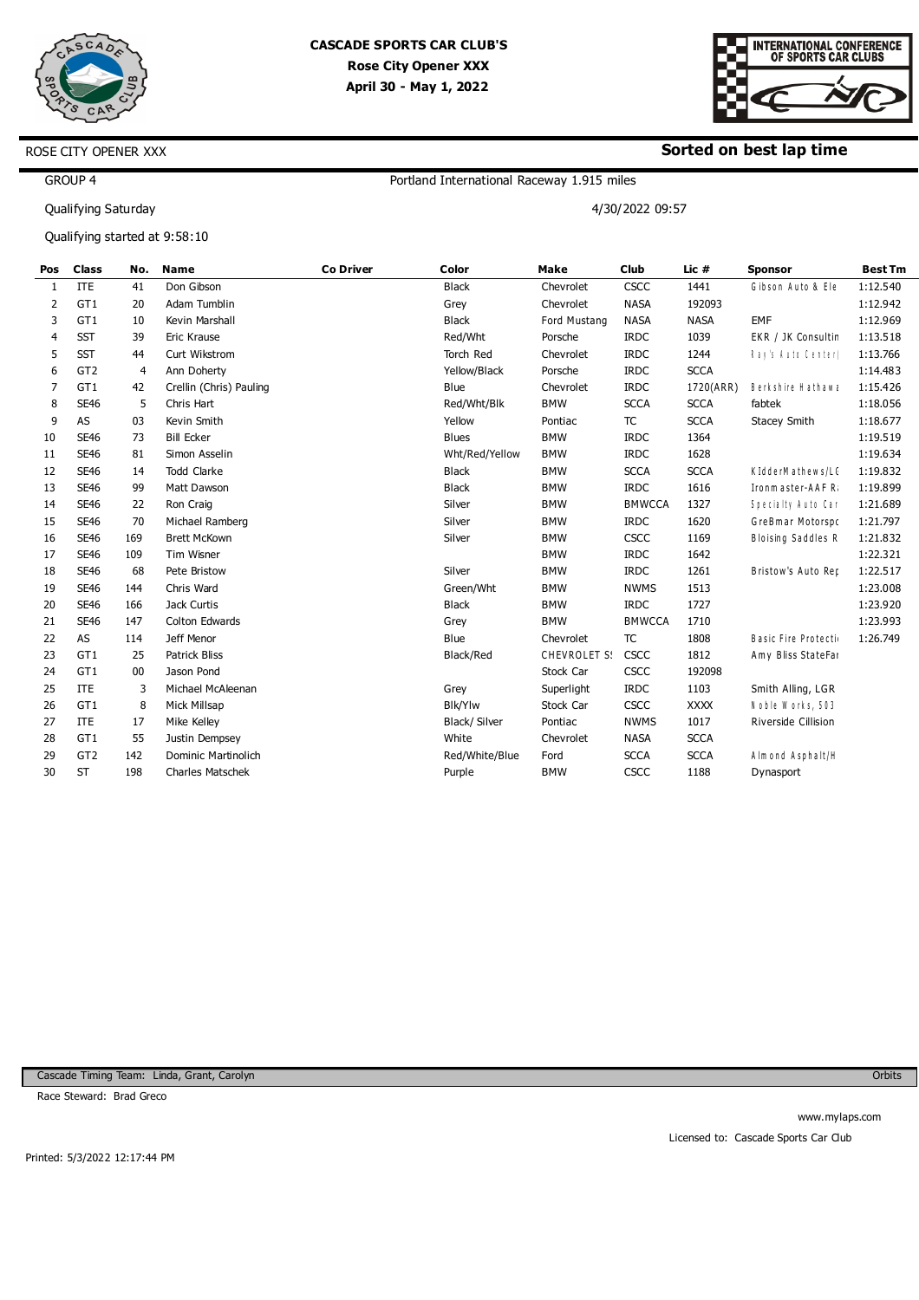



#### **Sorted on best lap time**

4/30/2022 09:57

GROUP 4

Qualifying Saturday

ROSE CITY OPENER XXX

Qualifying started at 9:58:10

| Pos | <b>Class</b>    | No.            | <b>Name</b>             | <b>Co Driver</b> | Color          | Make         | <b>Club</b>   | Lic #       | <b>Sponsor</b>                 | <b>Best Tm</b> |
|-----|-----------------|----------------|-------------------------|------------------|----------------|--------------|---------------|-------------|--------------------------------|----------------|
| 1   | <b>ITE</b>      | 41             | Don Gibson              |                  | <b>Black</b>   | Chevrolet    | <b>CSCC</b>   | 1441        | Gibson Auto & Ele              | 1:12.540       |
| 2   | GT1             | 20             | Adam Tumblin            |                  | Grey           | Chevrolet    | <b>NASA</b>   | 192093      |                                | 1:12.942       |
| 3   | GT1             | 10             | Kevin Marshall          |                  | <b>Black</b>   | Ford Mustang | NASA          | <b>NASA</b> | EMF                            | 1:12.969       |
| 4   | <b>SST</b>      | 39             | Eric Krause             |                  | Red/Wht        | Porsche      | <b>IRDC</b>   | 1039        | EKR / JK Consultir             | 1:13.518       |
| 5   | <b>SST</b>      | 44             | Curt Wikstrom           |                  | Torch Red      | Chevrolet    | <b>IRDC</b>   | 1244        | Ray's Auto Center <sub>i</sub> | 1:13.766       |
| 6   | GT <sub>2</sub> | $\overline{4}$ | Ann Doherty             |                  | Yellow/Black   | Porsche      | <b>IRDC</b>   | <b>SCCA</b> |                                | 1:14.483       |
| 7   | GT1             | 42             | Crellin (Chris) Pauling |                  | Blue           | Chevrolet    | <b>IRDC</b>   | 1720(ARR)   | Berkshire Hathawa              | 1:15.426       |
| 8   | <b>SE46</b>     | 5              | Chris Hart              |                  | Red/Wht/Blk    | <b>BMW</b>   | <b>SCCA</b>   | <b>SCCA</b> | fabtek                         | 1:18.056       |
| 9   | AS              | 03             | Kevin Smith             |                  | Yellow         | Pontiac      | <b>TC</b>     | <b>SCCA</b> | Stacey Smith                   | 1:18.677       |
| 10  | <b>SE46</b>     | 73             | <b>Bill Ecker</b>       |                  | <b>Blues</b>   | <b>BMW</b>   | <b>IRDC</b>   | 1364        |                                | 1:19.519       |
| 11  | <b>SE46</b>     | 81             | Simon Asselin           |                  | Wht/Red/Yellow | <b>BMW</b>   | <b>IRDC</b>   | 1628        |                                | 1:19.634       |
| 12  | <b>SE46</b>     | 14             | <b>Todd Clarke</b>      |                  | <b>Black</b>   | <b>BMW</b>   | <b>SCCA</b>   | <b>SCCA</b> | KIdderMathews/LC               | 1:19.832       |
| 13  | <b>SE46</b>     | 99             | Matt Dawson             |                  | <b>Black</b>   | <b>BMW</b>   | <b>IRDC</b>   | 1616        | Ironm aster-AAF R              | 1:19.899       |
| 14  | <b>SE46</b>     | 22             | Ron Craig               |                  | Silver         | <b>BMW</b>   | <b>BMWCCA</b> | 1327        | Specialty Auto Car             | 1:21.689       |
| 15  | <b>SE46</b>     | 70             | Michael Ramberg         |                  | Silver         | <b>BMW</b>   | <b>IRDC</b>   | 1620        | GreBmar Motorspo               | 1:21.797       |
| 16  | <b>SE46</b>     | L69            | <b>Brett McKown</b>     |                  | Silver         | <b>BMW</b>   | <b>CSCC</b>   | 1169        | Bloising Saddles R             | 1:21.832       |
| 17  | <b>SE46</b>     | LO9            | Tim Wisner              |                  |                | <b>BMW</b>   | <b>IRDC</b>   | 1642        |                                | 1:22.321       |
| 18  | <b>SE46</b>     | 68             | Pete Bristow            |                  | Silver         | <b>BMW</b>   | <b>IRDC</b>   | 1261        | Bristow's Auto Rep             | 1:22.517       |
| 19  | <b>SE46</b>     | <b>L44</b>     | Chris Ward              |                  | Green/Wht      | <b>BMW</b>   | <b>NWMS</b>   | 1513        |                                | 1:23.008       |
| 20  | <b>SE46</b>     | L66            | Jack Curtis             |                  | <b>Black</b>   | <b>BMW</b>   | <b>IRDC</b>   | 1727        |                                | 1:23.920       |
| 21  | <b>SE46</b>     | <b>L47</b>     | Colton Edwards          |                  | Grey           | <b>BMW</b>   | <b>BMWCCA</b> | 1710        |                                | 1:23.993       |
| 22  | AS              | 114            | Jeff Menor              |                  | Blue           | Chevrolet    | <b>TC</b>     | 1808        | Basic Fire Protecti            | 1:26.749       |
| 23  | GT1             | 25             | <b>Patrick Bliss</b>    |                  | Black/Red      | CHEVROLET S: | CSCC          | 1812        | Amy Bliss StateFar             |                |
| 24  | GT1             | 00             | Jason Pond              |                  |                | Stock Car    | <b>CSCC</b>   | 192098      |                                |                |
| 25  | <b>ITE</b>      |                | Michael McAleenan       |                  | Grey           | Superlight   | <b>IRDC</b>   | 1103        | Smith Alling, LGR              |                |
| 26  | GT1             |                | Mick Millsap            |                  | Blk/Ylw        | Stock Car    | <b>CSCC</b>   | <b>XXXX</b> | Noble Works, 503               |                |
| 27  | <b>ITE</b>      | 17             | Mike Kelley             |                  | Black/Silver   | Pontiac      | <b>NWMS</b>   | 1017        | Riverside Cillision            |                |
| 28  | GT1             | 55             | Justin Dempsey          |                  | White          | Chevrolet    | NASA          | <b>SCCA</b> |                                |                |
| 29  | GT <sub>2</sub> | L42            | Dominic Martinolich     |                  | Red/White/Blue | Ford         | <b>SCCA</b>   | <b>SCCA</b> | Almond Asphalt/H               |                |
| 30  | <b>ST</b>       | <b>L98</b>     | <b>Charles Matschek</b> |                  | Purple         | <b>BMW</b>   | <b>CSCC</b>   | 1188        | Dynasport                      |                |
|     |                 |                |                         |                  |                |              |               |             |                                |                |

Portland International Raceway 1.915 miles

Cascade Timing Team: Linda, Grant, Carolyn

Race Steward: Brad Greco

**Orbits**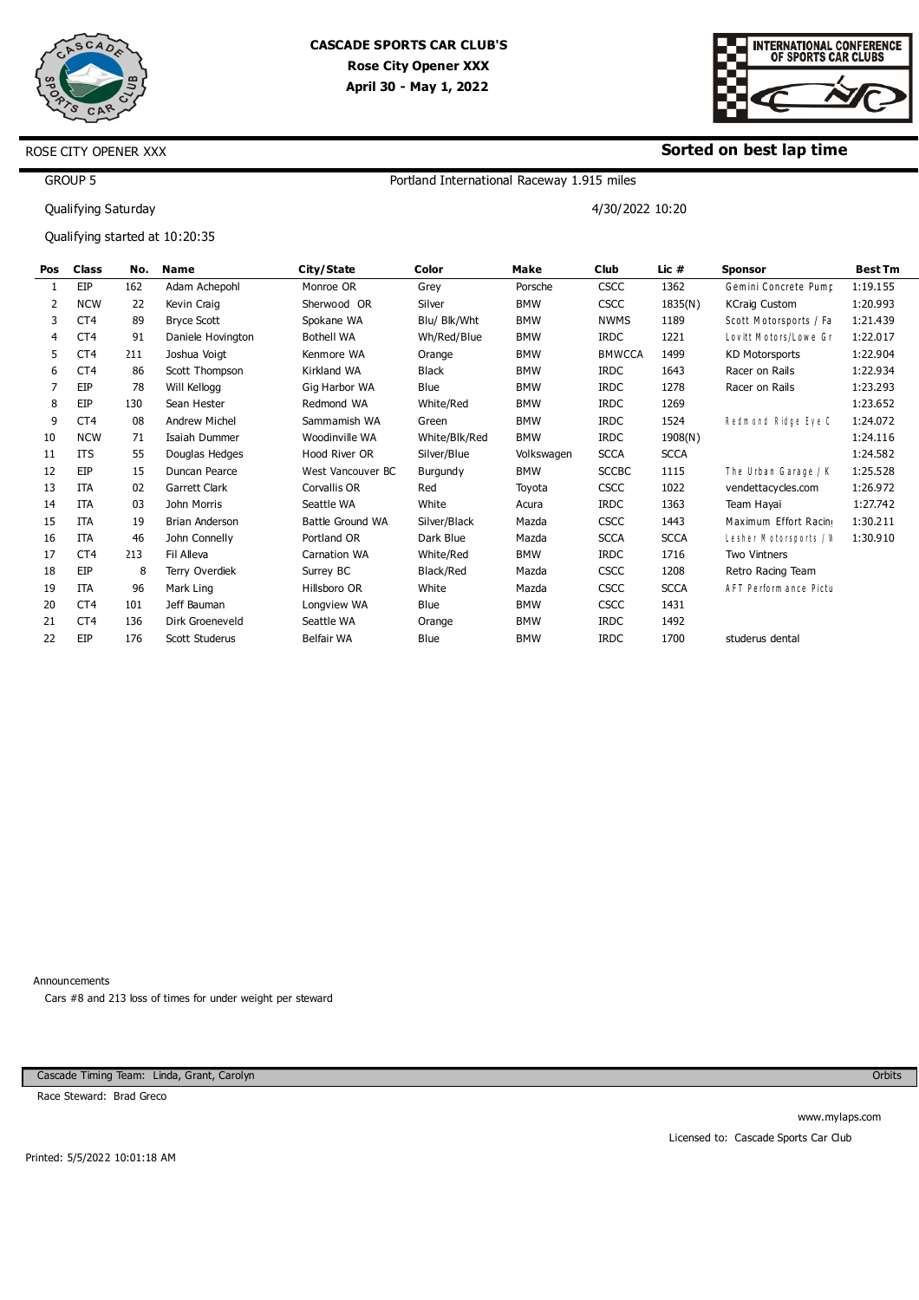



#### **Sorted on best lap time**

4/30/2022 10:20

## GROUP 5

Qualifying Saturday

ROSE CITY OPENER XXX

Qualifying started at 10:20:35

| Pos | <b>Class</b>    | No.             | Name                  | City/State              | Color         | Make       | Club          | Lic #       | <b>Sponsor</b>         | <b>Best Tm</b> |
|-----|-----------------|-----------------|-----------------------|-------------------------|---------------|------------|---------------|-------------|------------------------|----------------|
|     | EIP             | L62             | Adam Achepohl         | Monroe OR               | Grey          | Porsche    | <b>CSCC</b>   | 1362        | Gemini Concrete Pump   | 1:19.155       |
| 2   | <b>NCW</b>      | 22              | Kevin Craig           | Sherwood OR             | Silver        | <b>BMW</b> | <b>CSCC</b>   | 1835(N)     | <b>KCraig Custom</b>   | 1:20.993       |
| 3   | CT4             | 89              | <b>Brvce Scott</b>    | Spokane WA              | Blu/ Blk/Wht  | <b>BMW</b> | <b>NWMS</b>   | 1189        | Scott Motorsports / Fa | 1:21.439       |
| 4   | CT <sub>4</sub> | 91              | Daniele Hovington     | <b>Bothell WA</b>       | Wh/Red/Blue   | <b>BMW</b> | <b>IRDC</b>   | 1221        | Lovitt Motors/Lowe Gr  | 1:22.017       |
| 5   | CT4             | 211             | Joshua Voigt          | Kenmore WA              | Orange        | <b>BMW</b> | <b>BMWCCA</b> | 1499        | <b>KD Motorsports</b>  | 1:22.904       |
| 6   | CT <sub>4</sub> | 86              | Scott Thompson        | Kirkland WA             | <b>Black</b>  | <b>BMW</b> | <b>IRDC</b>   | 1643        | Racer on Rails         | 1:22.934       |
| 7   | EIP             | 78              | Will Kellogg          | Gig Harbor WA           | Blue          | <b>BMW</b> | <b>IRDC</b>   | 1278        | Racer on Rails         | 1:23.293       |
| 8   | EIP             | L30             | Sean Hester           | Redmond WA              | White/Red     | <b>BMW</b> | <b>IRDC</b>   | 1269        |                        | 1:23.652       |
| 9   | CT4             | 08              | <b>Andrew Michel</b>  | Sammamish WA            | Green         | <b>BMW</b> | <b>IRDC</b>   | 1524        | Redmond Ridge Eye C    | 1:24.072       |
| 10  | <b>NCW</b>      | 71              | Isaiah Dummer         | Woodinville WA          | White/Blk/Red | <b>BMW</b> | <b>IRDC</b>   | 1908(N)     |                        | 1:24.116       |
| 11  | <b>ITS</b>      | 55              | Douglas Hedges        | Hood River OR           | Silver/Blue   | Volkswagen | <b>SCCA</b>   | <b>SCCA</b> |                        | 1:24.582       |
| 12  | EIP             | 15              | Duncan Pearce         | West Vancouver BC       | Burgundy      | <b>BMW</b> | <b>SCCBC</b>  | 1115        | The Urban Garage / K   | 1:25.528       |
| 13  | <b>ITA</b>      | 02              | Garrett Clark         | Corvallis OR            | Red           | Toyota     | <b>CSCC</b>   | 1022        | vendettacycles.com     | 1:26.972       |
| 14  | <b>ITA</b>      | 03              | John Morris           | Seattle WA              | White         | Acura      | <b>IRDC</b>   | 1363        | Team Hayai             | 1:27.742       |
| 15  | <b>ITA</b>      | 19              | <b>Brian Anderson</b> | <b>Battle Ground WA</b> | Silver/Black  | Mazda      | <b>CSCC</b>   | 1443        | Maximum Effort Racin   | 1:30.211       |
| 16  | <b>ITA</b>      | 46              | John Connelly         | Portland OR             | Dark Blue     | Mazda      | <b>SCCA</b>   | <b>SCCA</b> | Lesher Motorsports / V | 1:30.910       |
| 17  | CT <sub>4</sub> | 213             | Fil Alleva            | <b>Carnation WA</b>     | White/Red     | <b>BMW</b> | <b>IRDC</b>   | 1716        | <b>Two Vintners</b>    |                |
| 18  | EIP             | 8               | Terry Overdiek        | Surrey BC               | Black/Red     | Mazda      | <b>CSCC</b>   | 1208        | Retro Racing Team      |                |
| 19  | ITA             | 96              | Mark Ling             | Hillsboro OR            | White         | Mazda      | <b>CSCC</b>   | <b>SCCA</b> | AFT Perform ance Pictu |                |
| 20  | CT <sub>4</sub> | <b>LO1</b>      | Jeff Bauman           | Longview WA             | <b>Blue</b>   | <b>BMW</b> | <b>CSCC</b>   | 1431        |                        |                |
| 21  | CT <sub>4</sub> | L <sub>36</sub> | Dirk Groeneveld       | Seattle WA              | Orange        | <b>BMW</b> | <b>IRDC</b>   | 1492        |                        |                |
| 22  | EIP             | L76             | Scott Studerus        | <b>Belfair WA</b>       | Blue          | <b>BMW</b> | <b>IRDC</b>   | 1700        | studerus dental        |                |
|     |                 |                 |                       |                         |               |            |               |             |                        |                |

Portland International Raceway 1.915 miles

Announcements

Cars #8 and 213 loss of times for under weight per steward

Cascade Timing Team: Linda, Grant, Carolyn

Race Steward: Brad Greco

**Orbits** 

Printed: 5/5/2022 10:01:18 AM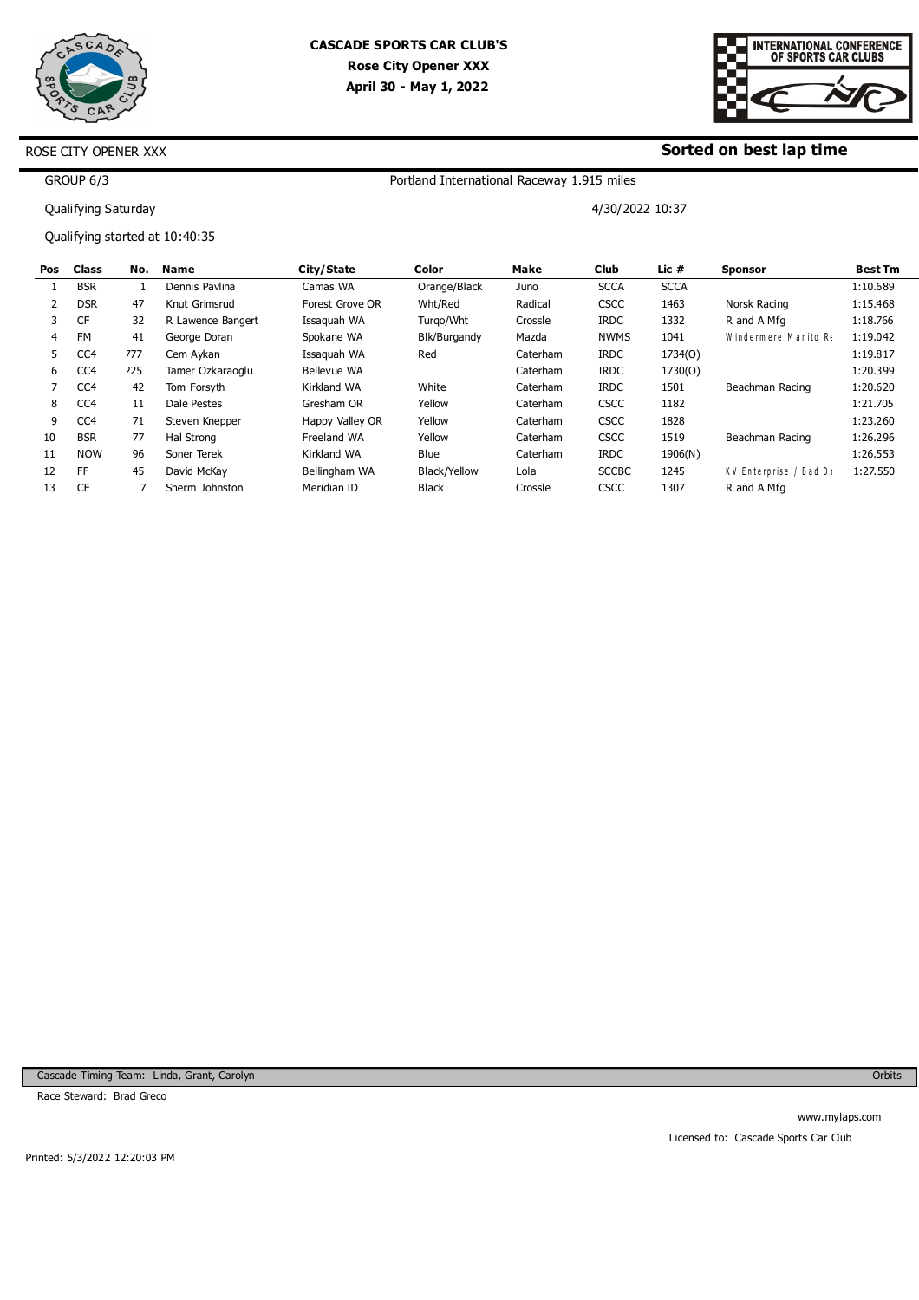



#### **Sorted on best lap time**

4/30/2022 10:37

GROUP 6/3

Qualifying Saturday

ROSE CITY OPENER XXX

Qualifying started at 10:40:35

| Pos | <b>Class</b>    | No. | Name              | City/State         | Color        | Make     | Club         | Lic $#$     | <b>Sponsor</b>        | <b>Best Tm</b> |
|-----|-----------------|-----|-------------------|--------------------|--------------|----------|--------------|-------------|-----------------------|----------------|
|     | <b>BSR</b>      |     | Dennis Pavlina    | Camas WA           | Orange/Black | Juno     | <b>SCCA</b>  | <b>SCCA</b> |                       | 1:10.689       |
|     | <b>DSR</b>      | 47  | Knut Grimsrud     | Forest Grove OR    | Wht/Red      | Radical  | <b>CSCC</b>  | 1463        | Norsk Racing          | 1:15.468       |
| 3   | <b>CF</b>       | 32  | R Lawence Bangert | Issaguah WA        | Turgo/Wht    | Crossle  | <b>IRDC</b>  | 1332        | R and A Mfg           | 1:18.766       |
| 4   | <b>FM</b>       | 41  | George Doran      | Spokane WA         | Blk/Burgandy | Mazda    | <b>NWMS</b>  | 1041        | Windermere Manito Re  | 1:19.042       |
| 5.  | CC <sub>4</sub> | 777 | Cem Avkan         | Issaguah WA        | Red          | Caterham | <b>IRDC</b>  | 1734(O)     |                       | 1:19.817       |
| 6   | CC <sub>4</sub> | 225 | Tamer Ozkaraoglu  | <b>Bellevue WA</b> |              | Caterham | <b>IRDC</b>  | 1730(O)     |                       | 1:20.399       |
|     | CC <sub>4</sub> | 42  | Tom Forsyth       | Kirkland WA        | White        | Caterham | <b>IRDC</b>  | 1501        | Beachman Racing       | 1:20.620       |
| 8   | CC <sub>4</sub> | 11  | Dale Pestes       | Gresham OR         | Yellow       | Caterham | <b>CSCC</b>  | 1182        |                       | 1:21.705       |
| 9   | CC <sub>4</sub> | 71  | Steven Knepper    | Happy Valley OR    | Yellow       | Caterham | <b>CSCC</b>  | 1828        |                       | 1:23.260       |
| 10  | <b>BSR</b>      | 77  | Hal Strong        | Freeland WA        | Yellow       | Caterham | <b>CSCC</b>  | 1519        | Beachman Racing       | 1:26.296       |
| 11  | <b>NOW</b>      | 96  | Soner Terek       | Kirkland WA        | Blue         | Caterham | <b>IRDC</b>  | 1906(N)     |                       | 1:26.553       |
| 12  | FF              | 45  | David McKav       | Bellingham WA      | Black/Yellow | Lola     | <b>SCCBC</b> | 1245        | KV Enterprise / Bad D | 1:27.550       |
| 13  | CF              |     | Sherm Johnston    | Meridian ID        | <b>Black</b> | Crossle  | <b>CSCC</b>  | 1307        | R and A Mfg           |                |

Portland International Raceway 1.915 miles

Cascade Timing Team: Linda, Grant, Carolyn

Race Steward: Brad Greco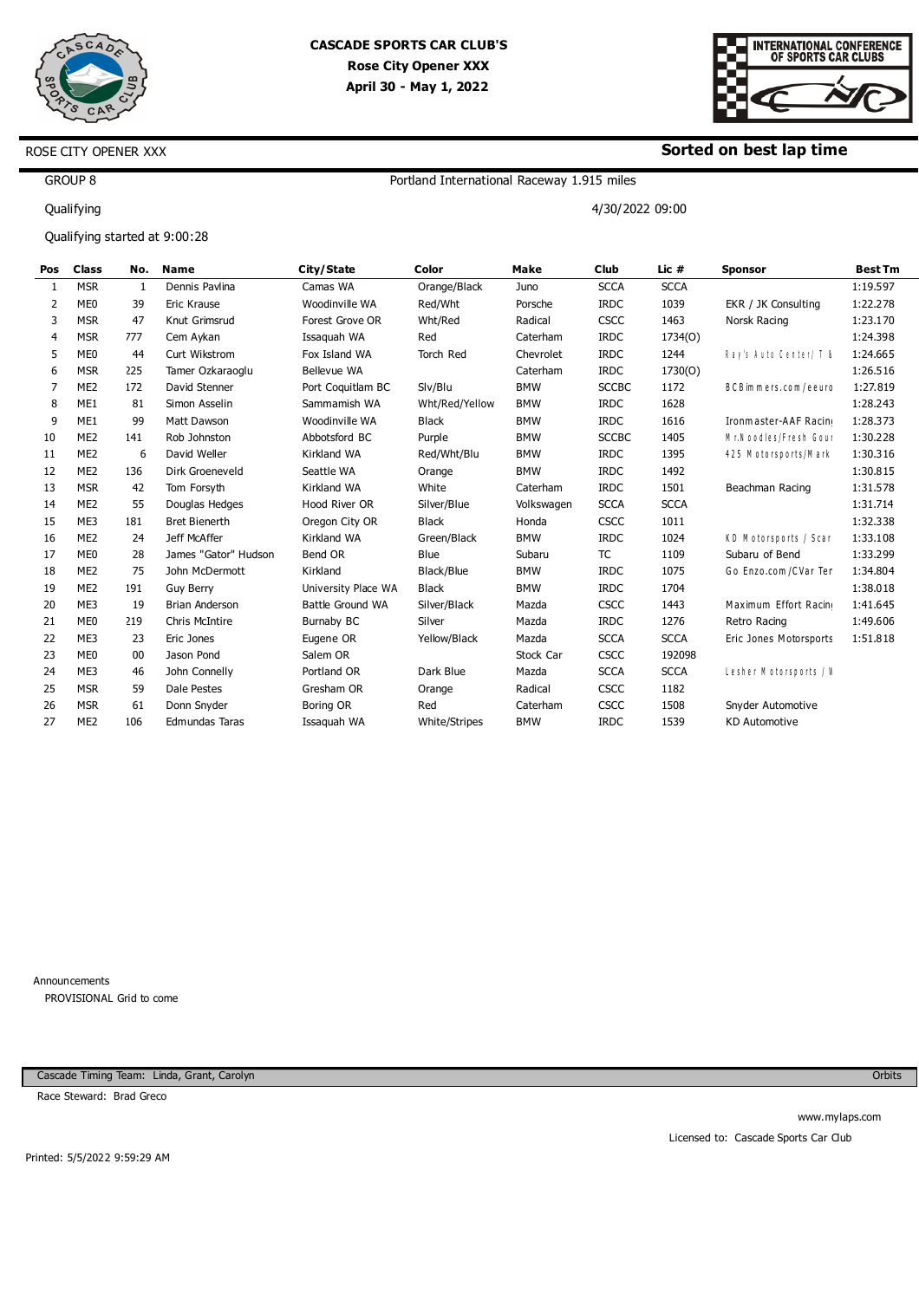

ROSE CITY OPENER XXX

## **CASCADE SPORTS CAR CLUB'S Rose City Opener XXX April 30 - May 1, 2022**



#### **Sorted on best lap time**

# GROUP 8

Qualifying

Qualifying started at 9:00:28

# Portland International Raceway 1.915 miles

4/30/2022 09:00

| Pos            | <b>Class</b>    | No.        | <b>Name</b>           | City/State          | Color            | Make       | Club         | Lic #       | <b>Sponsor</b>             | <b>Best Tm</b> |
|----------------|-----------------|------------|-----------------------|---------------------|------------------|------------|--------------|-------------|----------------------------|----------------|
| 1              | <b>MSR</b>      | 1          | Dennis Pavlina        | Camas WA            | Orange/Black     | Juno       | <b>SCCA</b>  | <b>SCCA</b> |                            | 1:19.597       |
| 2              | ME <sub>0</sub> | 39         | Eric Krause           | Woodinville WA      | Red/Wht          | Porsche    | <b>IRDC</b>  | 1039        | EKR / JK Consulting        | 1:22.278       |
| 3              | <b>MSR</b>      | 47         | Knut Grimsrud         | Forest Grove OR     | Wht/Red          | Radical    | <b>CSCC</b>  | 1463        | Norsk Racing               | 1:23.170       |
| 4              | <b>MSR</b>      | 777        | Cem Aykan             | Issaquah WA         | Red              | Caterham   | <b>IRDC</b>  | 1734(O)     |                            | 1:24.398       |
| 5              | ME <sub>0</sub> | 44         | Curt Wikstrom         | Fox Island WA       | <b>Torch Red</b> | Chevrolet  | <b>IRDC</b>  | 1244        | Ray's Auto Center/ T &     | 1:24.665       |
| 6              | <b>MSR</b>      | 225        | Tamer Ozkaraoglu      | Bellevue WA         |                  | Caterham   | <b>IRDC</b>  | 1730(O)     |                            | 1:26.516       |
| $\overline{7}$ | ME <sub>2</sub> | L72        | David Stenner         | Port Coquitlam BC   | Slv/Blu          | <b>BMW</b> | <b>SCCBC</b> | 1172        | B C B im m ers.com / eeurc | 1:27.819       |
| 8              | ME1             | 81         | Simon Asselin         | Sammamish WA        | Wht/Red/Yellow   | <b>BMW</b> | <b>IRDC</b>  | 1628        |                            | 1:28.243       |
| 9              | ME1             | 99         | Matt Dawson           | Woodinville WA      | <b>Black</b>     | <b>BMW</b> | <b>IRDC</b>  | 1616        | Ironmaster-AAF Racin       | 1:28.373       |
| 10             | ME <sub>2</sub> | <b>L41</b> | Rob Johnston          | Abbotsford BC       | Purple           | <b>BMW</b> | <b>SCCBC</b> | 1405        | Mr. Noodles/Fresh Goul     | 1:30.228       |
| 11             | ME <sub>2</sub> | 6          | David Weller          | Kirkland WA         | Red/Wht/Blu      | <b>BMW</b> | <b>IRDC</b>  | 1395        | 425 M otorsports/M ark     | 1:30.316       |
| 12             | ME <sub>2</sub> | L36        | Dirk Groeneveld       | Seattle WA          | Orange           | <b>BMW</b> | <b>IRDC</b>  | 1492        |                            | 1:30.815       |
| 13             | <b>MSR</b>      | 42         | Tom Forsyth           | Kirkland WA         | White            | Caterham   | <b>IRDC</b>  | 1501        | Beachman Racing            | 1:31.578       |
| 14             | ME <sub>2</sub> | 55         | Douglas Hedges        | Hood River OR       | Silver/Blue      | Volkswagen | <b>SCCA</b>  | <b>SCCA</b> |                            | 1:31.714       |
| 15             | ME3             | L81        | <b>Bret Bienerth</b>  | Oregon City OR      | <b>Black</b>     | Honda      | <b>CSCC</b>  | 1011        |                            | 1:32.338       |
| 16             | ME <sub>2</sub> | 24         | Jeff McAffer          | Kirkland WA         | Green/Black      | <b>BMW</b> | <b>IRDC</b>  | 1024        | KD Motorsports / Scar      | 1:33.108       |
| 17             | ME <sub>0</sub> | 28         | James "Gator" Hudson  | Bend OR             | Blue             | Subaru     | <b>TC</b>    | 1109        | Subaru of Bend             | 1:33.299       |
| 18             | ME <sub>2</sub> | 75         | John McDermott        | Kirkland            | Black/Blue       | <b>BMW</b> | <b>IRDC</b>  | 1075        | Go Enzo.com / CVar Ter     | 1:34.804       |
| 19             | ME <sub>2</sub> | L91        | <b>Guy Berry</b>      | University Place WA | <b>Black</b>     | <b>BMW</b> | <b>IRDC</b>  | 1704        |                            | 1:38.018       |
| 20             | ME3             | 19         | <b>Brian Anderson</b> | Battle Ground WA    | Silver/Black     | Mazda      | <b>CSCC</b>  | 1443        | Maximum Effort Racin       | 1:41.645       |
| 21             | ME <sub>0</sub> | 219        | Chris McIntire        | Burnaby BC          | Silver           | Mazda      | <b>IRDC</b>  | 1276        | Retro Racing               | 1:49.606       |
| 22             | ME3             | 23         | Eric Jones            | Eugene OR           | Yellow/Black     | Mazda      | <b>SCCA</b>  | <b>SCCA</b> | Eric Jones Motorsports     | 1:51.818       |
| 23             | ME <sub>0</sub> | 00         | Jason Pond            | Salem OR            |                  | Stock Car  | <b>CSCC</b>  | 192098      |                            |                |
| 24             | ME3             | 46         | John Connelly         | Portland OR         | Dark Blue        | Mazda      | <b>SCCA</b>  | <b>SCCA</b> | Lesher Motorsports / V     |                |
| 25             | <b>MSR</b>      | 59         | Dale Pestes           | Gresham OR          | Orange           | Radical    | <b>CSCC</b>  | 1182        |                            |                |
| 26             | <b>MSR</b>      | 61         | Donn Snyder           | Boring OR           | Red              | Caterham   | <b>CSCC</b>  | 1508        | Snyder Automotive          |                |
| 27             | ME <sub>2</sub> | LO6        | <b>Edmundas Taras</b> | Issaquah WA         | White/Stripes    | <b>BMW</b> | <b>IRDC</b>  | 1539        | <b>KD Automotive</b>       |                |

Announcements PROVISIONAL Grid to come

Cascade Timing Team: Linda, Grant, Carolyn

Race Steward: Brad Greco